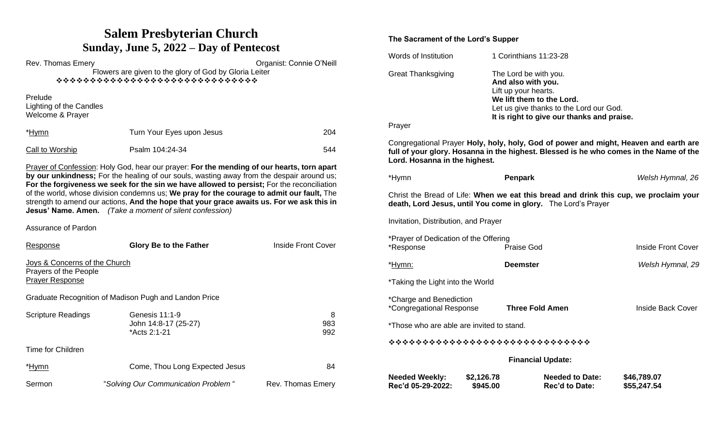# **Salem Presbyterian Church Sunday, June 5, 2022 – Day of Pentecost**

Rev. Thomas Emery **New Struck Emery Rev. Thomas Emery Organist: Connie O'Neill** Flowers are given to the glory of God by Gloria Leiter ❖❖❖❖❖❖❖❖❖❖❖❖❖❖❖❖❖❖❖❖❖❖❖❖❖❖❖❖❖❖ Prelude Lighting of the Candles Welcome & Prayer \*Hymn Turn Your Eyes upon Jesus 204 Call to Worship **Psalm 104:24-34** 544 Prayer of Confession: Holy God, hear our prayer: **For the mending of our hearts, torn apart** 

**by our unkindness;** For the healing of our souls, wasting away from the despair around us; **For the forgiveness we seek for the sin we have allowed to persist;** For the reconciliation of the world, whose division condemns us; **We pray for the courage to admit our fault,** The strength to amend our actions, **And the hope that your grace awaits us. For we ask this in Jesus' Name. Amen.** *(Take a moment of silent confession)*

Assurance of Pardon

| Response                                                                         | <b>Glory Be to the Father</b>                          | <b>Inside Front Cover</b> |
|----------------------------------------------------------------------------------|--------------------------------------------------------|---------------------------|
| Joys & Concerns of the Church<br>Prayers of the People<br><b>Prayer Response</b> |                                                        |                           |
|                                                                                  | Graduate Recognition of Madison Pugh and Landon Price  |                           |
| <b>Scripture Readings</b>                                                        | Genesis 11:1-9<br>John 14:8-17 (25-27)<br>*Acts 2:1-21 | 8<br>983<br>992           |
| Time for Children                                                                |                                                        |                           |
| *Hymn                                                                            | Come, Thou Long Expected Jesus                         | 84                        |
| Sermon                                                                           | "Solving Our Communication Problem"                    | Rev. Thomas Emery         |

### **The Sacrament of the Lord's Supper**

| Words of Institution                                                                                                                                   |                        | 1 Corinthians 11:23-28                                                                                                                                                                    |                            |  |  |  |
|--------------------------------------------------------------------------------------------------------------------------------------------------------|------------------------|-------------------------------------------------------------------------------------------------------------------------------------------------------------------------------------------|----------------------------|--|--|--|
| <b>Great Thanksgiving</b><br>Prayer                                                                                                                    |                        | The Lord be with you.<br>And also with you.<br>Lift up your hearts.<br>We lift them to the Lord.<br>Let us give thanks to the Lord our God.<br>It is right to give our thanks and praise. |                            |  |  |  |
| Lord. Hosanna in the highest.                                                                                                                          |                        | Congregational Prayer Holy, holy, holy, God of power and might, Heaven and earth are<br>full of your glory. Hosanna in the highest. Blessed is he who comes in the Name of the            |                            |  |  |  |
| *Hymn                                                                                                                                                  |                        | Penpark                                                                                                                                                                                   | Welsh Hymnal, 26           |  |  |  |
| Christ the Bread of Life: When we eat this bread and drink this cup, we proclaim your<br>death, Lord Jesus, until You come in glory. The Lord's Prayer |                        |                                                                                                                                                                                           |                            |  |  |  |
| Invitation, Distribution, and Prayer                                                                                                                   |                        |                                                                                                                                                                                           |                            |  |  |  |
| *Prayer of Dedication of the Offering<br>*Response                                                                                                     |                        | Praise God                                                                                                                                                                                | <b>Inside Front Cover</b>  |  |  |  |
| <u>*Hymn:</u>                                                                                                                                          |                        | <b>Deemster</b>                                                                                                                                                                           | Welsh Hymnal, 29           |  |  |  |
| *Taking the Light into the World                                                                                                                       |                        |                                                                                                                                                                                           |                            |  |  |  |
| *Charge and Benediction<br>*Congregational Response                                                                                                    |                        | <b>Three Fold Amen</b>                                                                                                                                                                    | <b>Inside Back Cover</b>   |  |  |  |
| *Those who are able are invited to stand.                                                                                                              |                        |                                                                                                                                                                                           |                            |  |  |  |
| ******************************                                                                                                                         |                        |                                                                                                                                                                                           |                            |  |  |  |
| <b>Financial Update:</b>                                                                                                                               |                        |                                                                                                                                                                                           |                            |  |  |  |
| <b>Needed Weekly:</b><br>Rec'd 05-29-2022:                                                                                                             | \$2,126.78<br>\$945.00 | <b>Needed to Date:</b><br><b>Rec'd to Date:</b>                                                                                                                                           | \$46,789.07<br>\$55,247.54 |  |  |  |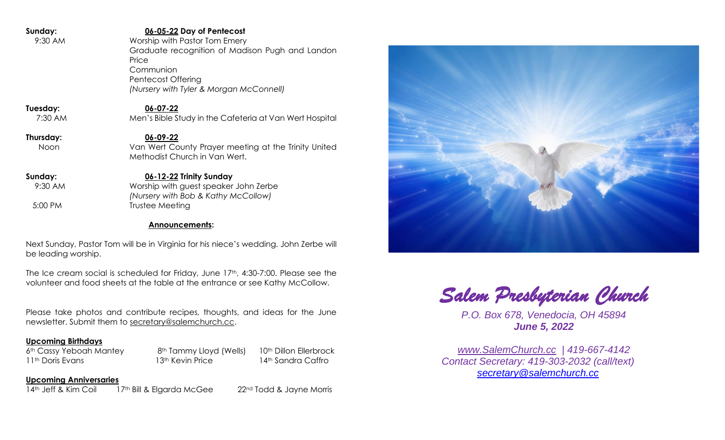| Sunday:   | 06-05-22 Day of Pentecost                               |  |
|-----------|---------------------------------------------------------|--|
| 9:30 AM   | Worship with Pastor Tom Emery                           |  |
|           | Graduate recognition of Madison Pugh and Landon         |  |
|           | Price                                                   |  |
|           | Communion                                               |  |
|           | <b>Pentecost Offering</b>                               |  |
|           | (Nursery with Tyler & Morgan McConnell)                 |  |
| Tuesday:  | 06-07-22                                                |  |
| 7:30 AM   | Men's Bible Study in the Cafeteria at Van Wert Hospital |  |
| Thursday: | $06 - 09 - 22$                                          |  |
| Noon      | Van Wert County Prayer meeting at the Trinity United    |  |
|           | Methodist Church in Van Wert.                           |  |
|           |                                                         |  |
| Sunday:   | 06-12-22 Trinity Sunday                                 |  |
| 9:30 AM   | Worship with guest speaker John Zerbe                   |  |
|           | (Nursery with Bob & Kathy McCollow)                     |  |
| 5:00 PM   | Trustee Meeting                                         |  |
|           |                                                         |  |
|           | <b>Announcements:</b>                                   |  |

Next Sunday, Pastor Tom will be in Virginia for his niece's wedding. John Zerbe will be leading worship.

The Ice cream social is scheduled for Friday, June 17th, 4:30-7:00. Please see the volunteer and food sheets at the table at the entrance or see Kathy McCollow.

Please take photos and contribute recipes, thoughts, and ideas for the June newsletter. Submit them to [secretary@salemchurch.cc.](mailto:secretary@salemchurch.cc)

#### **Upcoming Birthdays**

6<sup>th</sup> Cassy Yeboah Mantey 8<sup>th</sup> Tammy Lloyd (Wells) 10<sup>th</sup> Dillon Ellerbrock 11th Doris Evans 13th Kevin Price 14th Sandra Caffro

**Upcoming Anniversaries** 14<sup>th</sup> Jeff & Kim Coil 17<sup>th</sup> Bill & Elgarda McGee 22<sup>nd</sup> Todd & Jayne Morris

*Salem Presbyterian Church* 

*P.O. Box 678, Venedocia, OH 45894 June 5, 2022*

*[www.SalemChurch.cc](http://www.salemchurch.cc/) | 419-667-4142 Contact Secretary: 419-303-2032 (call/text) [secretary@salemchurch.cc](mailto:secretary@salemchurch.cc)*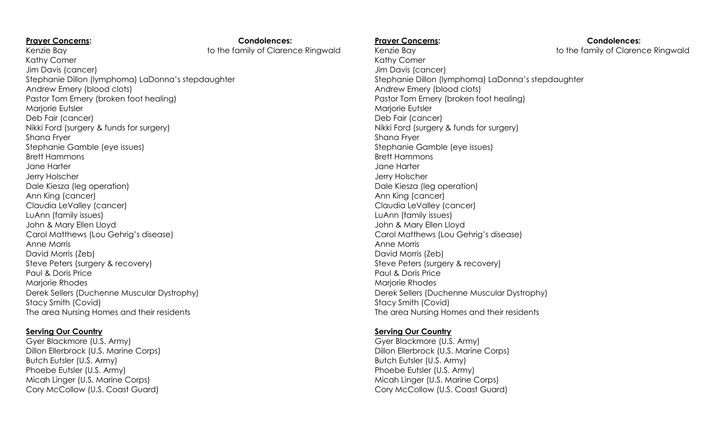| <b>Prayer Concerns:</b>                            | <b>Condolences:</b>     |
|----------------------------------------------------|-------------------------|
| Kenzie Bay                                         | to the family of Claren |
| Kathy Comer                                        |                         |
| Jim Davis (cancer)                                 |                         |
| Stephanie Dillon (lymphoma) LaDonna's stepdaughter |                         |
| Andrew Emery (blood clots)                         |                         |
| Pastor Tom Emery (broken foot healing)             |                         |
| Marjorie Eutsler                                   |                         |
| Deb Fair (cancer)                                  |                         |
| Nikki Ford (surgery & funds for surgery)           |                         |
| Shana Fryer                                        |                         |
| Stephanie Gamble (eye issues)                      |                         |
| <b>Brett Hammons</b>                               |                         |
| Jane Harter                                        |                         |
| Jerry Holscher                                     |                         |
| Dale Kiesza (leg operation)                        |                         |
| Ann King (cancer)                                  |                         |
| Claudia LeValley (cancer)                          |                         |
| LuAnn (family issues)                              |                         |
| John & Mary Ellen Lloyd                            |                         |
| Carol Matthews (Lou Gehrig's disease)              |                         |
| Anne Morris                                        |                         |
| David Morris (Zeb)                                 |                         |
| Steve Peters (surgery & recovery)                  |                         |
| Paul & Doris Price                                 |                         |
| Marjorie Rhodes                                    |                         |
| Derek Sellers (Duchenne Muscular Dystrophy)        |                         |
| Stacy Smith (Covid)                                |                         |
| The area Nursing Homes and their residents         |                         |

### **Serving Our Country**

Gyer Blackmore (U.S. Army) Dillon Ellerbrock (U.S. Marine Corps) Butch Eutsler (U.S. Army) Phoebe Eutsler (U.S. Army) Micah Linger (U.S. Marine Corps) Cory McCollow (U.S. Coast Guard)

family of Clarence Ringwald

Kenzie Bay to the family of Clarence Ringwald Kathy Comer Jim Davis (cancer) Stephanie Dillon (lymphoma) LaDonna's stepdaughter Andrew Emery (blood clots) Pastor Tom Emery (broken foot healing) Marjorie Eutsler Deb Fair (cancer) Nikki Ford (surgery & funds for surgery) Shana Fryer Stephanie Gamble (eye issues) Brett Hammons Jane Harter Jerry Holscher Dale Kiesza (leg operation) Ann King (cancer) Claudia LeValley (cancer) LuAnn (family issues) John & Mary Ellen Lloyd Carol Matthews (Lou Gehrig's disease) Anne Morris David Morris (Zeb) Steve Peters (surgery & recovery) Paul & Doris Price Marjorie Rhodes Derek Sellers (Duchenne Muscular Dystrophy) Stacy Smith (Covid) The area Nursing Homes and their residents

# **Serving Our Country**

Gyer Blackmore (U.S. Army) Dillon Ellerbrock (U.S. Marine Corps) Butch Eutsler (U.S. Army) Phoebe Eutsler (U.S. Army) Micah Linger (U.S. Marine Corps) Cory McCollow (U.S. Coast Guard)

Prayer Concerns: **Condolences: Condolences:**